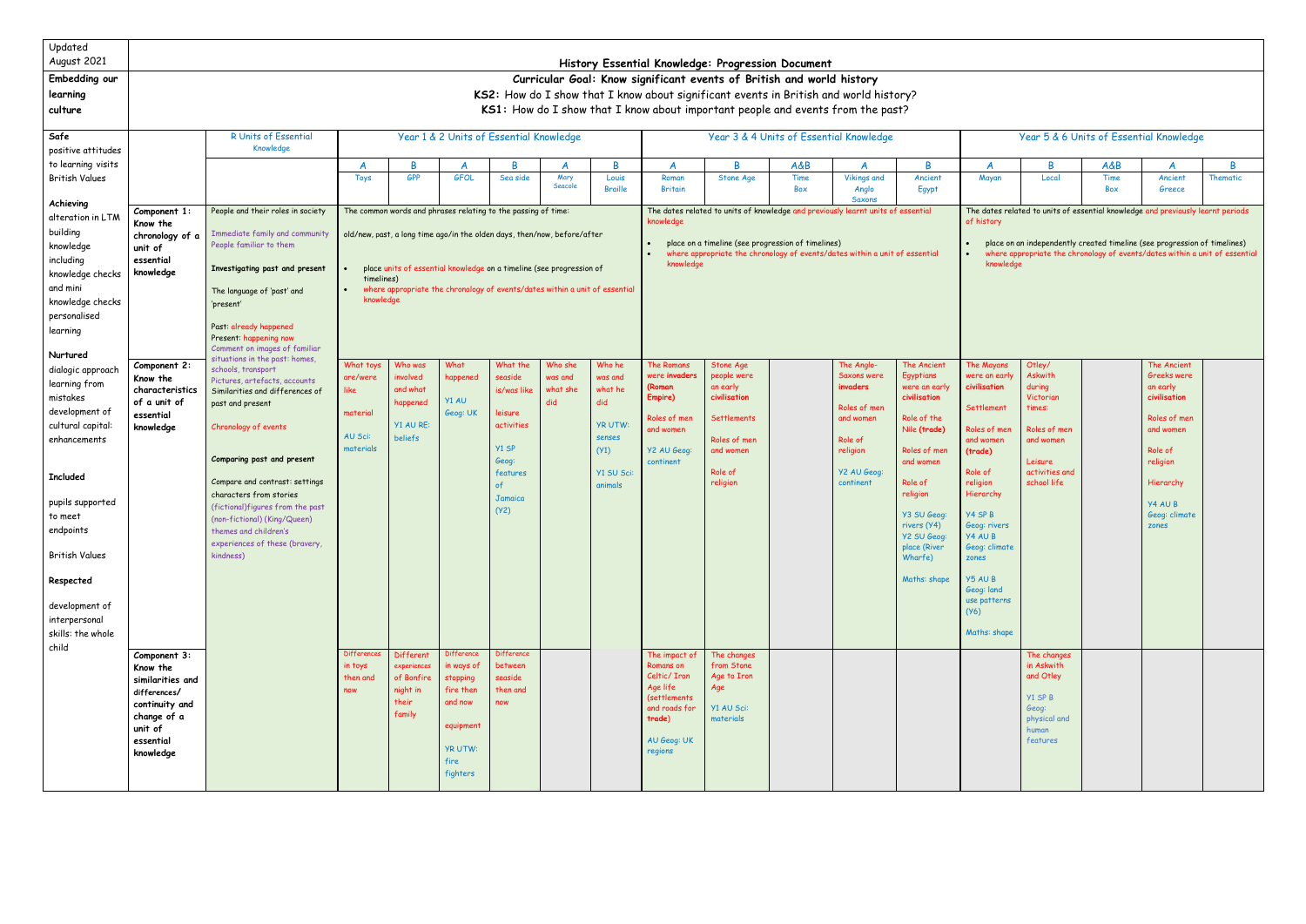| Updated<br>August 2021                                                                                                                                                                                                       |                                                                                                                                                            | History Essential Knowledge: Progression Document                                                                                                                                                                                                                                                                                                                         |                                                                   |                                                                       |                                                                                                                 |                                                                                                                                        |                                       |                                                                                                 |                                                                                                                                    |                                                                                                                                |                                                                             |                                                                                                                       |                                                                                                                                                                                                                                      |                                                                                                                                                                                                                                                             |                                                                                                                             |                |                                                                                                                                                              |          |  |  |  |  |
|------------------------------------------------------------------------------------------------------------------------------------------------------------------------------------------------------------------------------|------------------------------------------------------------------------------------------------------------------------------------------------------------|---------------------------------------------------------------------------------------------------------------------------------------------------------------------------------------------------------------------------------------------------------------------------------------------------------------------------------------------------------------------------|-------------------------------------------------------------------|-----------------------------------------------------------------------|-----------------------------------------------------------------------------------------------------------------|----------------------------------------------------------------------------------------------------------------------------------------|---------------------------------------|-------------------------------------------------------------------------------------------------|------------------------------------------------------------------------------------------------------------------------------------|--------------------------------------------------------------------------------------------------------------------------------|-----------------------------------------------------------------------------|-----------------------------------------------------------------------------------------------------------------------|--------------------------------------------------------------------------------------------------------------------------------------------------------------------------------------------------------------------------------------|-------------------------------------------------------------------------------------------------------------------------------------------------------------------------------------------------------------------------------------------------------------|-----------------------------------------------------------------------------------------------------------------------------|----------------|--------------------------------------------------------------------------------------------------------------------------------------------------------------|----------|--|--|--|--|
| Embedding our                                                                                                                                                                                                                | Curricular Goal: Know significant events of British and world history                                                                                      |                                                                                                                                                                                                                                                                                                                                                                           |                                                                   |                                                                       |                                                                                                                 |                                                                                                                                        |                                       |                                                                                                 |                                                                                                                                    |                                                                                                                                |                                                                             |                                                                                                                       |                                                                                                                                                                                                                                      |                                                                                                                                                                                                                                                             |                                                                                                                             |                |                                                                                                                                                              |          |  |  |  |  |
| learning                                                                                                                                                                                                                     | KS2: How do I show that I know about significant events in British and world history?                                                                      |                                                                                                                                                                                                                                                                                                                                                                           |                                                                   |                                                                       |                                                                                                                 |                                                                                                                                        |                                       |                                                                                                 |                                                                                                                                    |                                                                                                                                |                                                                             |                                                                                                                       |                                                                                                                                                                                                                                      |                                                                                                                                                                                                                                                             |                                                                                                                             |                |                                                                                                                                                              |          |  |  |  |  |
| culture                                                                                                                                                                                                                      |                                                                                                                                                            |                                                                                                                                                                                                                                                                                                                                                                           |                                                                   |                                                                       |                                                                                                                 |                                                                                                                                        |                                       |                                                                                                 |                                                                                                                                    | KS1: How do I show that I know about important people and events from the past?                                                |                                                                             |                                                                                                                       |                                                                                                                                                                                                                                      |                                                                                                                                                                                                                                                             |                                                                                                                             |                |                                                                                                                                                              |          |  |  |  |  |
| Safe                                                                                                                                                                                                                         |                                                                                                                                                            | R Units of Essential                                                                                                                                                                                                                                                                                                                                                      |                                                                   |                                                                       |                                                                                                                 | Year 1 & 2 Units of Essential Knowledge                                                                                                |                                       |                                                                                                 |                                                                                                                                    | Year 3 & 4 Units of Essential Knowledge                                                                                        |                                                                             |                                                                                                                       |                                                                                                                                                                                                                                      |                                                                                                                                                                                                                                                             |                                                                                                                             |                | Year 5 & 6 Units of Essential Knowledge                                                                                                                      |          |  |  |  |  |
| positive attitudes                                                                                                                                                                                                           |                                                                                                                                                            | Knowledge                                                                                                                                                                                                                                                                                                                                                                 |                                                                   |                                                                       |                                                                                                                 |                                                                                                                                        |                                       |                                                                                                 |                                                                                                                                    |                                                                                                                                |                                                                             |                                                                                                                       |                                                                                                                                                                                                                                      |                                                                                                                                                                                                                                                             |                                                                                                                             |                |                                                                                                                                                              |          |  |  |  |  |
| to learning visits                                                                                                                                                                                                           |                                                                                                                                                            |                                                                                                                                                                                                                                                                                                                                                                           |                                                                   | <b>B</b>                                                              |                                                                                                                 | R                                                                                                                                      |                                       | B                                                                                               | A                                                                                                                                  | R                                                                                                                              | A&B                                                                         |                                                                                                                       | B                                                                                                                                                                                                                                    | A                                                                                                                                                                                                                                                           | <sub>R</sub>                                                                                                                | <b>A&amp;B</b> | A                                                                                                                                                            | B        |  |  |  |  |
| <b>British Values</b>                                                                                                                                                                                                        |                                                                                                                                                            |                                                                                                                                                                                                                                                                                                                                                                           | <b>Toys</b>                                                       | <b>GPP</b>                                                            | <b>GFOL</b>                                                                                                     | Sea side                                                                                                                               | Mary<br>Seacole                       | Louis<br><b>Braille</b>                                                                         | Roman<br><b>Britain</b>                                                                                                            | Stone Age                                                                                                                      | Time<br>Box                                                                 | <b>Vikings and</b><br>Anglo                                                                                           | Ancient<br>Egypt                                                                                                                                                                                                                     | Mayan                                                                                                                                                                                                                                                       | Local                                                                                                                       | Time<br>Box    | Ancient<br>Greece                                                                                                                                            | Thematic |  |  |  |  |
| Achieving                                                                                                                                                                                                                    |                                                                                                                                                            | People and their roles in society                                                                                                                                                                                                                                                                                                                                         |                                                                   |                                                                       |                                                                                                                 |                                                                                                                                        |                                       |                                                                                                 |                                                                                                                                    |                                                                                                                                |                                                                             | Saxons                                                                                                                |                                                                                                                                                                                                                                      |                                                                                                                                                                                                                                                             |                                                                                                                             |                |                                                                                                                                                              |          |  |  |  |  |
| alteration in LTM                                                                                                                                                                                                            | Component 1:<br>Know the                                                                                                                                   |                                                                                                                                                                                                                                                                                                                                                                           |                                                                   |                                                                       |                                                                                                                 | The common words and phrases relating to the passing of time:                                                                          |                                       |                                                                                                 | The dates related to units of knowledge and previously learnt units of essential<br>knowledge                                      |                                                                                                                                |                                                                             |                                                                                                                       |                                                                                                                                                                                                                                      |                                                                                                                                                                                                                                                             | The dates related to units of essential knowledge and previously learnt periods<br>of history                               |                |                                                                                                                                                              |          |  |  |  |  |
| building                                                                                                                                                                                                                     | chronology of a                                                                                                                                            | Immediate family and community<br>old/new, past, a long time ago/in the olden days, then/now, before/after                                                                                                                                                                                                                                                                |                                                                   |                                                                       |                                                                                                                 |                                                                                                                                        |                                       |                                                                                                 |                                                                                                                                    |                                                                                                                                | place on a timeline (see progression of timelines)                          |                                                                                                                       |                                                                                                                                                                                                                                      |                                                                                                                                                                                                                                                             |                                                                                                                             |                | place on an independently created timeline (see progression of timelines)                                                                                    |          |  |  |  |  |
| knowledge                                                                                                                                                                                                                    | unit of                                                                                                                                                    | People familiar to them                                                                                                                                                                                                                                                                                                                                                   |                                                                   |                                                                       |                                                                                                                 |                                                                                                                                        |                                       |                                                                                                 |                                                                                                                                    | where appropriate the chronology of events/dates within a unit of essential                                                    | where appropriate the chronology of events/dates within a unit of essential |                                                                                                                       |                                                                                                                                                                                                                                      |                                                                                                                                                                                                                                                             |                                                                                                                             |                |                                                                                                                                                              |          |  |  |  |  |
| including<br>knowledge checks                                                                                                                                                                                                | essential<br>knowledge<br>knowledge<br>place units of essential knowledge on a timeline (see progression of<br>Investigating past and present<br>knowledge |                                                                                                                                                                                                                                                                                                                                                                           |                                                                   |                                                                       |                                                                                                                 |                                                                                                                                        |                                       |                                                                                                 |                                                                                                                                    |                                                                                                                                |                                                                             |                                                                                                                       |                                                                                                                                                                                                                                      |                                                                                                                                                                                                                                                             |                                                                                                                             |                |                                                                                                                                                              |          |  |  |  |  |
| and mini                                                                                                                                                                                                                     | timelines)<br>where appropriate the chronology of events/dates within a unit of essential<br>The language of 'past' and                                    |                                                                                                                                                                                                                                                                                                                                                                           |                                                                   |                                                                       |                                                                                                                 |                                                                                                                                        |                                       |                                                                                                 |                                                                                                                                    |                                                                                                                                |                                                                             |                                                                                                                       |                                                                                                                                                                                                                                      |                                                                                                                                                                                                                                                             |                                                                                                                             |                |                                                                                                                                                              |          |  |  |  |  |
| knowledge checks                                                                                                                                                                                                             | knowledge<br>'present'                                                                                                                                     |                                                                                                                                                                                                                                                                                                                                                                           |                                                                   |                                                                       |                                                                                                                 |                                                                                                                                        |                                       |                                                                                                 |                                                                                                                                    |                                                                                                                                |                                                                             |                                                                                                                       |                                                                                                                                                                                                                                      |                                                                                                                                                                                                                                                             |                                                                                                                             |                |                                                                                                                                                              |          |  |  |  |  |
| personalised                                                                                                                                                                                                                 |                                                                                                                                                            |                                                                                                                                                                                                                                                                                                                                                                           |                                                                   |                                                                       |                                                                                                                 |                                                                                                                                        |                                       |                                                                                                 |                                                                                                                                    |                                                                                                                                |                                                                             |                                                                                                                       |                                                                                                                                                                                                                                      |                                                                                                                                                                                                                                                             |                                                                                                                             |                |                                                                                                                                                              |          |  |  |  |  |
| learning                                                                                                                                                                                                                     |                                                                                                                                                            | Past: already happened<br>Present: happening now                                                                                                                                                                                                                                                                                                                          |                                                                   |                                                                       |                                                                                                                 |                                                                                                                                        |                                       |                                                                                                 |                                                                                                                                    |                                                                                                                                |                                                                             |                                                                                                                       |                                                                                                                                                                                                                                      |                                                                                                                                                                                                                                                             |                                                                                                                             |                |                                                                                                                                                              |          |  |  |  |  |
| Nurtured                                                                                                                                                                                                                     |                                                                                                                                                            | Comment on images of familiar<br>situations in the past: homes,                                                                                                                                                                                                                                                                                                           |                                                                   |                                                                       |                                                                                                                 |                                                                                                                                        |                                       |                                                                                                 |                                                                                                                                    |                                                                                                                                |                                                                             |                                                                                                                       |                                                                                                                                                                                                                                      |                                                                                                                                                                                                                                                             |                                                                                                                             |                |                                                                                                                                                              |          |  |  |  |  |
| dialogic approach<br>learning from<br>mistakes<br>development of<br>cultural capital:<br>enhancements<br><b>Included</b><br>pupils supported<br>to meet<br>endpoints<br><b>British Values</b><br>Respected<br>development of | Component 2:<br>Know the<br>characteristics<br>of a unit of<br>essential<br>knowledge                                                                      | schools, transport<br>Pictures, artefacts, accounts<br>Similarities and differences of<br>past and present<br>Chronology of events<br>Comparing past and present<br>Compare and contrast: settings<br>characters from stories<br>(fictional)figures from the past<br>(non-fictional) (King/Queen)<br>themes and children's<br>experiences of these (bravery,<br>kindness) | What toys<br>are/were<br>like<br>material<br>AU Sci:<br>materials | Who was<br>involved<br>and what<br>happened<br>Y1 AU RE:<br>beliefs   | What<br>happened<br>Y1 AU<br>Geog: UK                                                                           | What the<br>seaside<br>is/was like<br>leisure<br>activities<br>Y1 SP<br>Geog:<br>features<br>of<br><b>Jamaica</b><br>(Y <sup>2</sup> ) | Who she<br>was and<br>what she<br>did | Who he<br>was and<br>what he<br>did<br><b>YR UTW:</b><br>senses<br>(Y1)<br>Y1 SU Sci<br>animals | The Romans<br>were i <b>nvaders</b><br>(Roman<br>Empire)<br>Roles of men<br>and women<br>Y2 AU Geog:<br>continent                  | Stone Age<br>people were<br>an early<br>civilisation<br><b>Settlements</b><br>Roles of men<br>and women<br>Role of<br>religior |                                                                             | The Anglo-<br>Saxons were<br>invaders<br>Roles of men<br>and women<br>Role of<br>religion<br>Y2 AU Geog:<br>continent | The Ancient<br>Egyptians<br>were an early<br>civilisation<br>Role of the<br>Nile (trade)<br>Roles of men<br>and women<br>Role of<br>religion<br>Y3 SU Geog:<br>rivers (Y4)<br>Y2 SU Geog:<br>place (River<br>Wharfe)<br>Maths: shape | The Mayans<br>were an early<br>civilisation<br><b>Settlement</b><br>Roles of men<br>and women<br>(trade)<br>Role of<br>religion<br>Hierarchy<br>Y4 SP B<br>Geog: rivers<br>Y4AUB<br>Geog: climate<br>zones<br>Y5 AU B<br>Geog: land<br>use patterns<br>(Y6) | Otley/<br>Askwith<br>during<br>Victorian<br>times:<br>Roles of men<br>and women<br>Leisure<br>activities and<br>school life |                | The Ancient<br>Greeks were<br>an early<br>civilisation<br>Roles of men<br>and women<br>Role of<br>religion<br>Hierarchy<br>Y4 AU B<br>Geog: climate<br>zones |          |  |  |  |  |
| interpersonal<br>skills: the whole                                                                                                                                                                                           |                                                                                                                                                            |                                                                                                                                                                                                                                                                                                                                                                           |                                                                   |                                                                       |                                                                                                                 |                                                                                                                                        |                                       |                                                                                                 |                                                                                                                                    |                                                                                                                                |                                                                             |                                                                                                                       |                                                                                                                                                                                                                                      | Maths: shape                                                                                                                                                                                                                                                |                                                                                                                             |                |                                                                                                                                                              |          |  |  |  |  |
| child                                                                                                                                                                                                                        | Component 3:<br>Know the<br>similarities and<br>differences/<br>continuity and<br>change of a<br>unit of<br>essential<br>knowledge                         |                                                                                                                                                                                                                                                                                                                                                                           | <b>Differences</b><br>in toys<br>then and<br>now                  | Different<br>experiences<br>of Bonfire<br>night in<br>their<br>family | Difference<br>in ways of<br>stopping<br>fire then<br>and now<br>equipment<br><b>YR UTW:</b><br>fire<br>fighters | <b>Difference</b><br>between<br>seaside<br>then and<br>now                                                                             |                                       |                                                                                                 | The impact of<br>Romans on<br>Celtic/ Iron<br>Age life<br><i>(settlements</i><br>and roads for<br>trade)<br>AU Geog: UK<br>regions | The changes<br>from Stone<br>Age to Iron<br>Age<br>Y1 AU Sci:<br>materials                                                     |                                                                             |                                                                                                                       |                                                                                                                                                                                                                                      |                                                                                                                                                                                                                                                             | The changes<br>in Askwith<br>and Otley<br>Y1 SP B<br>Geog:<br>physical and<br>human<br>features                             |                |                                                                                                                                                              |          |  |  |  |  |